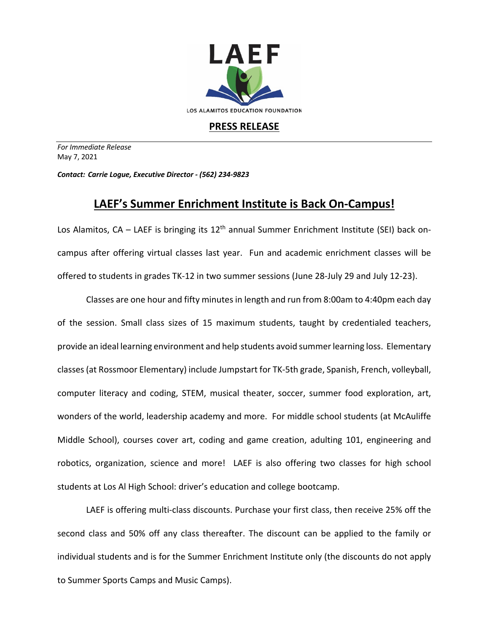

**PRESS RELEASE**

*For Immediate Release*  May 7, 2021

*Contact: Carrie Logue, Executive Director - (562) 234-9823*

## **LAEF's Summer Enrichment Institute is Back On-Campus!**

Los Alamitos,  $CA - LAEF$  is bringing its  $12<sup>th</sup>$  annual Summer Enrichment Institute (SEI) back oncampus after offering virtual classes last year. Fun and academic enrichment classes will be offered to students in grades TK-12 in two summer sessions (June 28-July 29 and July 12-23).

Classes are one hour and fifty minutes in length and run from 8:00am to 4:40pm each day of the session. Small class sizes of 15 maximum students, taught by credentialed teachers, provide an ideal learning environment and help students avoid summer learning loss. Elementary classes(at Rossmoor Elementary) include Jumpstart for TK-5th grade, Spanish, French, volleyball, computer literacy and coding, STEM, musical theater, soccer, summer food exploration, art, wonders of the world, leadership academy and more. For middle school students (at McAuliffe Middle School), courses cover art, coding and game creation, adulting 101, engineering and robotics, organization, science and more! LAEF is also offering two classes for high school students at Los Al High School: driver's education and college bootcamp.

LAEF is offering multi-class discounts. Purchase your first class, then receive 25% off the second class and 50% off any class thereafter. The discount can be applied to the family or individual students and is for the Summer Enrichment Institute only (the discounts do not apply to Summer Sports Camps and Music Camps).